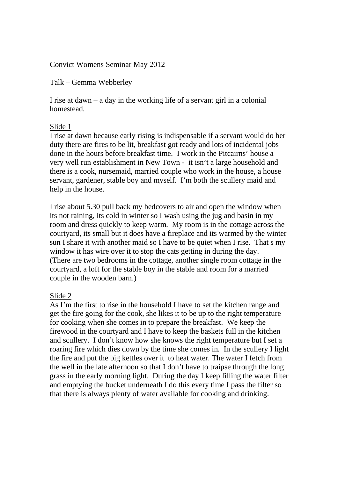Convict Womens Seminar May 2012

Talk – Gemma Webberley

I rise at dawn – a day in the working life of a servant girl in a colonial homestead.

## Slide 1

I rise at dawn because early rising is indispensable if a servant would do her duty there are fires to be lit, breakfast got ready and lots of incidental jobs done in the hours before breakfast time. I work in the Pitcairns' house a very well run establishment in New Town - it isn't a large household and there is a cook, nursemaid, married couple who work in the house, a house servant, gardener, stable boy and myself. I'm both the scullery maid and help in the house.

I rise about 5.30 pull back my bedcovers to air and open the window when its not raining, its cold in winter so I wash using the jug and basin in my room and dress quickly to keep warm. My room is in the cottage across the courtyard, its small but it does have a fireplace and its warmed by the winter sun I share it with another maid so I have to be quiet when I rise. That s my window it has wire over it to stop the cats getting in during the day. (There are two bedrooms in the cottage, another single room cottage in the courtyard, a loft for the stable boy in the stable and room for a married couple in the wooden barn.)

## Slide 2

As I'm the first to rise in the household I have to set the kitchen range and get the fire going for the cook, she likes it to be up to the right temperature for cooking when she comes in to prepare the breakfast. We keep the firewood in the courtyard and I have to keep the baskets full in the kitchen and scullery. I don't know how she knows the right temperature but I set a roaring fire which dies down by the time she comes in. In the scullery I light the fire and put the big kettles over it to heat water. The water I fetch from the well in the late afternoon so that I don't have to traipse through the long grass in the early morning light. During the day I keep filling the water filter and emptying the bucket underneath I do this every time I pass the filter so that there is always plenty of water available for cooking and drinking.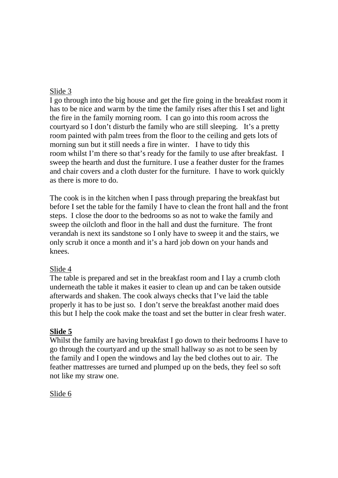## Slide 3

I go through into the big house and get the fire going in the breakfast room it has to be nice and warm by the time the family rises after this I set and light the fire in the family morning room. I can go into this room across the courtyard so I don't disturb the family who are still sleeping. It's a pretty room painted with palm trees from the floor to the ceiling and gets lots of morning sun but it still needs a fire in winter. I have to tidy this room whilst I'm there so that's ready for the family to use after breakfast. I sweep the hearth and dust the furniture. I use a feather duster for the frames and chair covers and a cloth duster for the furniture. I have to work quickly as there is more to do.

The cook is in the kitchen when I pass through preparing the breakfast but before I set the table for the family I have to clean the front hall and the front steps. I close the door to the bedrooms so as not to wake the family and sweep the oilcloth and floor in the hall and dust the furniture. The front verandah is next its sandstone so I only have to sweep it and the stairs, we only scrub it once a month and it's a hard job down on your hands and knees.

#### Slide 4

The table is prepared and set in the breakfast room and I lay a crumb cloth underneath the table it makes it easier to clean up and can be taken outside afterwards and shaken. The cook always checks that I've laid the table properly it has to be just so. I don't serve the breakfast another maid does this but I help the cook make the toast and set the butter in clear fresh water.

## **Slide 5**

Whilst the family are having breakfast I go down to their bedrooms I have to go through the courtyard and up the small hallway so as not to be seen by the family and I open the windows and lay the bed clothes out to air. The feather mattresses are turned and plumped up on the beds, they feel so soft not like my straw one.

#### Slide 6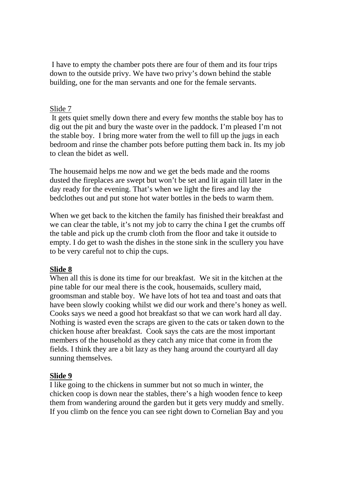I have to empty the chamber pots there are four of them and its four trips down to the outside privy. We have two privy's down behind the stable building, one for the man servants and one for the female servants.

### Slide 7

 It gets quiet smelly down there and every few months the stable boy has to dig out the pit and bury the waste over in the paddock. I'm pleased I'm not the stable boy. I bring more water from the well to fill up the jugs in each bedroom and rinse the chamber pots before putting them back in. Its my job to clean the bidet as well.

The housemaid helps me now and we get the beds made and the rooms dusted the fireplaces are swept but won't be set and lit again till later in the day ready for the evening. That's when we light the fires and lay the bedclothes out and put stone hot water bottles in the beds to warm them.

When we get back to the kitchen the family has finished their breakfast and we can clear the table, it's not my job to carry the china I get the crumbs off the table and pick up the crumb cloth from the floor and take it outside to empty. I do get to wash the dishes in the stone sink in the scullery you have to be very careful not to chip the cups.

## **Slide 8**

When all this is done its time for our breakfast. We sit in the kitchen at the pine table for our meal there is the cook, housemaids, scullery maid, groomsman and stable boy. We have lots of hot tea and toast and oats that have been slowly cooking whilst we did our work and there's honey as well. Cooks says we need a good hot breakfast so that we can work hard all day. Nothing is wasted even the scraps are given to the cats or taken down to the chicken house after breakfast. Cook says the cats are the most important members of the household as they catch any mice that come in from the fields. I think they are a bit lazy as they hang around the courtyard all day sunning themselves.

## **Slide 9**

I like going to the chickens in summer but not so much in winter, the chicken coop is down near the stables, there's a high wooden fence to keep them from wandering around the garden but it gets very muddy and smelly. If you climb on the fence you can see right down to Cornelian Bay and you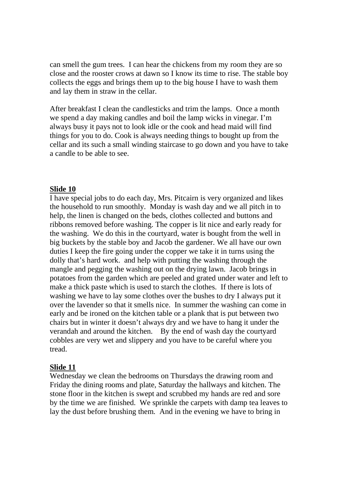can smell the gum trees. I can hear the chickens from my room they are so close and the rooster crows at dawn so I know its time to rise. The stable boy collects the eggs and brings them up to the big house I have to wash them and lay them in straw in the cellar.

After breakfast I clean the candlesticks and trim the lamps. Once a month we spend a day making candles and boil the lamp wicks in vinegar. I'm always busy it pays not to look idle or the cook and head maid will find things for you to do. Cook is always needing things to bought up from the cellar and its such a small winding staircase to go down and you have to take a candle to be able to see.

#### **Slide 10**

I have special jobs to do each day, Mrs. Pitcairn is very organized and likes the household to run smoothly. Monday is wash day and we all pitch in to help, the linen is changed on the beds, clothes collected and buttons and ribbons removed before washing. The copper is lit nice and early ready for the washing. We do this in the courtyard, water is bought from the well in big buckets by the stable boy and Jacob the gardener. We all have our own duties I keep the fire going under the copper we take it in turns using the dolly that's hard work. and help with putting the washing through the mangle and pegging the washing out on the drying lawn. Jacob brings in potatoes from the garden which are peeled and grated under water and left to make a thick paste which is used to starch the clothes. If there is lots of washing we have to lay some clothes over the bushes to dry I always put it over the lavender so that it smells nice. In summer the washing can come in early and be ironed on the kitchen table or a plank that is put between two chairs but in winter it doesn't always dry and we have to hang it under the verandah and around the kitchen. By the end of wash day the courtyard cobbles are very wet and slippery and you have to be careful where you tread.

#### **Slide 11**

Wednesday we clean the bedrooms on Thursdays the drawing room and Friday the dining rooms and plate, Saturday the hallways and kitchen. The stone floor in the kitchen is swept and scrubbed my hands are red and sore by the time we are finished. We sprinkle the carpets with damp tea leaves to lay the dust before brushing them. And in the evening we have to bring in